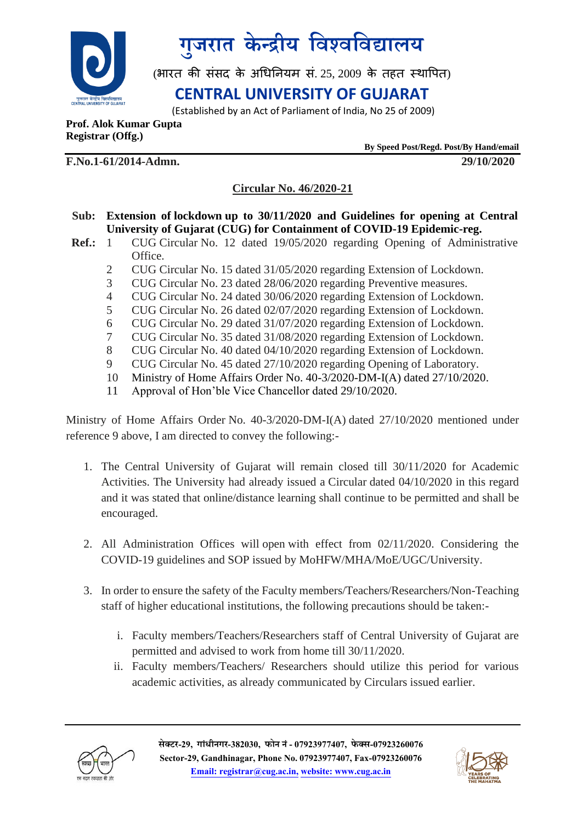



(भारत की संसद के अधिनियम सं. 25, 2009 के तहत स्थापित)

## **CENTRAL UNIVERSITY OF GUJARAT**

(Established by an Act of Parliament of India, No 25 of 2009)

**Prof. Alok Kumar Gupta Registrar (Offg.)** 

 **By Speed Post/Regd. Post/By Hand/email**

**F.No.1-61/2014-Admn. 29/10/2020**

### **Circular No. 46/2020-21**

- **Sub: Extension of lockdown up to 30/11/2020 and Guidelines for opening at Central University of Gujarat (CUG) for Containment of COVID-19 Epidemic-reg.**
- **Ref.:** 1 CUG Circular No. 12 dated 19/05/2020 regarding Opening of Administrative Office.
	- 2 CUG Circular No. 15 dated 31/05/2020 regarding Extension of Lockdown.
	- 3 CUG Circular No. 23 dated 28/06/2020 regarding Preventive measures.
	- 4 CUG Circular No. 24 dated 30/06/2020 regarding Extension of Lockdown.
	- 5 CUG Circular No. 26 dated 02/07/2020 regarding Extension of Lockdown.
	- 6 CUG Circular No. 29 dated 31/07/2020 regarding Extension of Lockdown.
	- 7 CUG Circular No. 35 dated 31/08/2020 regarding Extension of Lockdown.
	- 8 CUG Circular No. 40 dated 04/10/2020 regarding Extension of Lockdown.
	- 9 CUG Circular No. 45 dated 27/10/2020 regarding Opening of Laboratory.
	- 10 Ministry of Home Affairs Order No. 40-3/2020-DM-I(A) dated 27/10/2020.
	- 11 Approval of Hon'ble Vice Chancellor dated 29/10/2020.

Ministry of Home Affairs Order No. 40-3/2020-DM-I(A) dated 27/10/2020 mentioned under reference 9 above, I am directed to convey the following:-

- 1. The Central University of Gujarat will remain closed till 30/11/2020 for Academic Activities. The University had already issued a Circular dated 04/10/2020 in this regard and it was stated that online/distance learning shall continue to be permitted and shall be encouraged.
- 2. All Administration Offices will open with effect from 02/11/2020. Considering the COVID-19 guidelines and SOP issued by MoHFW/MHA/MoE/UGC/University.
- 3. In order to ensure the safety of the Faculty members/Teachers/Researchers/Non-Teaching staff of higher educational institutions, the following precautions should be taken:
	- i. Faculty members/Teachers/Researchers staff of Central University of Gujarat are permitted and advised to work from home till 30/11/2020.
	- ii. Faculty members/Teachers/ Researchers should utilize this period for various academic activities, as already communicated by Circulars issued earlier.



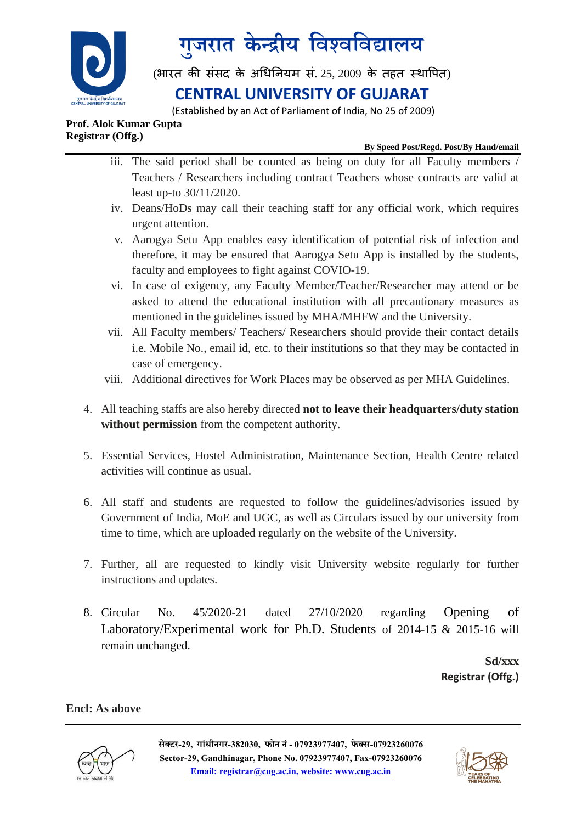

# **ग ु जरात के न्द्रीय विश्िविद्यालय**

(भारत की संसद के अधिनियम सं. 25, 2009 के तहत स्थापित)

## **CENTRAL UNIVERSITY OF GUJARAT**

(Established by an Act of Parliament of India, No 25 of 2009)

#### **Prof. Alok Kumar Gupta Registrar (Offg.)**

#### **By Speed Post/Regd. Post/By Hand/email**

- iii. The said period shall be counted as being on duty for all Faculty members / Teachers / Researchers including contract Teachers whose contracts are valid at least up-to 30/11/2020.
- iv. Deans/HoDs may call their teaching staff for any official work, which requires urgent attention.
- v. Aarogya Setu App enables easy identification of potential risk of infection and therefore, it may be ensured that Aarogya Setu App is installed by the students, faculty and employees to fight against COVIO-19.
- vi. In case of exigency, any Faculty Member/Teacher/Researcher may attend or be asked to attend the educational institution with all precautionary measures as mentioned in the guidelines issued by MHA/MHFW and the University.
- vii. All Faculty members/ Teachers/ Researchers should provide their contact details i.e. Mobile No., email id, etc. to their institutions so that they may be contacted in case of emergency.
- viii. Additional directives for Work Places may be observed as per MHA Guidelines.
- 4. All teaching staffs are also hereby directed **not to leave their headquarters/duty station without permission** from the competent authority.
- 5. Essential Services, Hostel Administration, Maintenance Section, Health Centre related activities will continue as usual.
- 6. All staff and students are requested to follow the guidelines/advisories issued by Government of India, MoE and UGC, as well as Circulars issued by our university from time to time, which are uploaded regularly on the website of the University.
- 7. Further, all are requested to kindly visit University website regularly for further instructions and updates.
- 8. Circular No. 45/2020-21 dated 27/10/2020 regarding Opening of Laboratory/Experimental work for Ph.D. Students of 2014-15 & 2015-16 will remain unchanged.

 **Sd/xxx Registrar (Offg.)**

**Encl: As above**